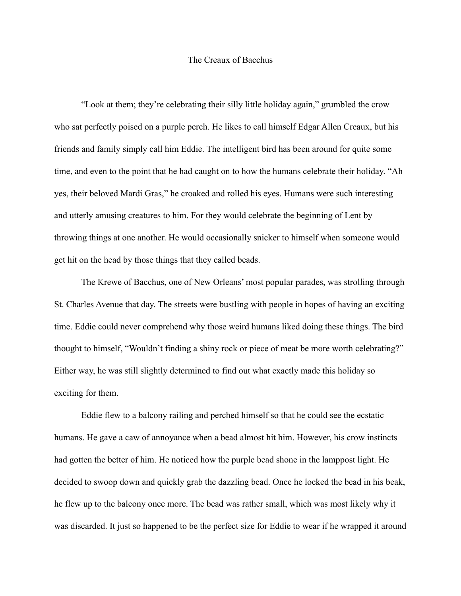## The Creaux of Bacchus

"Look at them; they're celebrating their silly little holiday again," grumbled the crow who sat perfectly poised on a purple perch. He likes to call himself Edgar Allen Creaux, but his friends and family simply call him Eddie. The intelligent bird has been around for quite some time, and even to the point that he had caught on to how the humans celebrate their holiday. "Ah yes, their beloved Mardi Gras," he croaked and rolled his eyes. Humans were such interesting and utterly amusing creatures to him. For they would celebrate the beginning of Lent by throwing things at one another. He would occasionally snicker to himself when someone would get hit on the head by those things that they called beads.

The Krewe of Bacchus, one of New Orleans' most popular parades, was strolling through St. Charles Avenue that day. The streets were bustling with people in hopes of having an exciting time. Eddie could never comprehend why those weird humans liked doing these things. The bird thought to himself, "Wouldn't finding a shiny rock or piece of meat be more worth celebrating?" Either way, he was still slightly determined to find out what exactly made this holiday so exciting for them.

Eddie flew to a balcony railing and perched himself so that he could see the ecstatic humans. He gave a caw of annoyance when a bead almost hit him. However, his crow instincts had gotten the better of him. He noticed how the purple bead shone in the lamppost light. He decided to swoop down and quickly grab the dazzling bead. Once he locked the bead in his beak, he flew up to the balcony once more. The bead was rather small, which was most likely why it was discarded. It just so happened to be the perfect size for Eddie to wear if he wrapped it around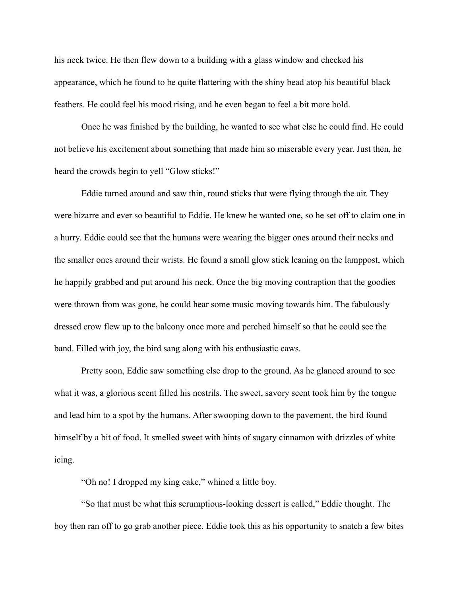his neck twice. He then flew down to a building with a glass window and checked his appearance, which he found to be quite flattering with the shiny bead atop his beautiful black feathers. He could feel his mood rising, and he even began to feel a bit more bold.

Once he was finished by the building, he wanted to see what else he could find. He could not believe his excitement about something that made him so miserable every year. Just then, he heard the crowds begin to yell "Glow sticks!"

Eddie turned around and saw thin, round sticks that were flying through the air. They were bizarre and ever so beautiful to Eddie. He knew he wanted one, so he set off to claim one in a hurry. Eddie could see that the humans were wearing the bigger ones around their necks and the smaller ones around their wrists. He found a small glow stick leaning on the lamppost, which he happily grabbed and put around his neck. Once the big moving contraption that the goodies were thrown from was gone, he could hear some music moving towards him. The fabulously dressed crow flew up to the balcony once more and perched himself so that he could see the band. Filled with joy, the bird sang along with his enthusiastic caws.

Pretty soon, Eddie saw something else drop to the ground. As he glanced around to see what it was, a glorious scent filled his nostrils. The sweet, savory scent took him by the tongue and lead him to a spot by the humans. After swooping down to the pavement, the bird found himself by a bit of food. It smelled sweet with hints of sugary cinnamon with drizzles of white icing.

"Oh no! I dropped my king cake," whined a little boy.

"So that must be what this scrumptious-looking dessert is called," Eddie thought. The boy then ran off to go grab another piece. Eddie took this as his opportunity to snatch a few bites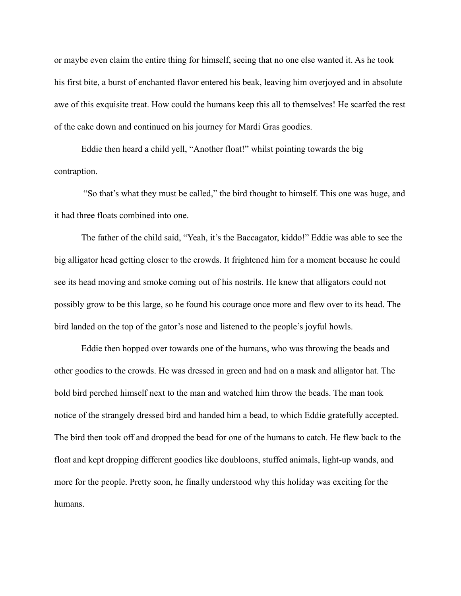or maybe even claim the entire thing for himself, seeing that no one else wanted it. As he took his first bite, a burst of enchanted flavor entered his beak, leaving him overjoyed and in absolute awe of this exquisite treat. How could the humans keep this all to themselves! He scarfed the rest of the cake down and continued on his journey for Mardi Gras goodies.

Eddie then heard a child yell, "Another float!" whilst pointing towards the big contraption.

 "So that's what they must be called," the bird thought to himself. This one was huge, and it had three floats combined into one.

The father of the child said, "Yeah, it's the Baccagator, kiddo!" Eddie was able to see the big alligator head getting closer to the crowds. It frightened him for a moment because he could see its head moving and smoke coming out of his nostrils. He knew that alligators could not possibly grow to be this large, so he found his courage once more and flew over to its head. The bird landed on the top of the gator's nose and listened to the people's joyful howls.

Eddie then hopped over towards one of the humans, who was throwing the beads and other goodies to the crowds. He was dressed in green and had on a mask and alligator hat. The bold bird perched himself next to the man and watched him throw the beads. The man took notice of the strangely dressed bird and handed him a bead, to which Eddie gratefully accepted. The bird then took off and dropped the bead for one of the humans to catch. He flew back to the float and kept dropping different goodies like doubloons, stuffed animals, light-up wands, and more for the people. Pretty soon, he finally understood why this holiday was exciting for the humans.